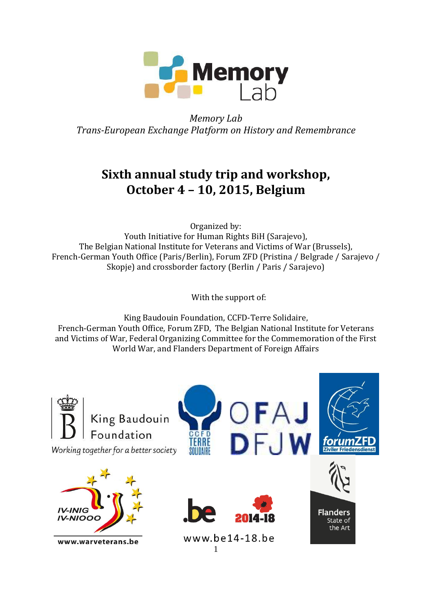

*Memory Lab Trans-European Exchange Platform on History and Remembrance*

# **Sixth annual study trip and workshop, October 4 – 10, 2015, Belgium**

Organized by: Youth Initiative for Human Rights BiH (Sarajevo), The Belgian National Institute for Veterans and Victims of War (Brussels), French-German Youth Office (Paris/Berlin), Forum ZFD (Pristina / Belgrade / Sarajevo / Skopje) and crossborder factory (Berlin / Paris / Sarajevo)

With the support of:

King Baudouin Foundation, CCFD-Terre Solidaire, French-German Youth Office, Forum ZFD, The Belgian National Institute for Veterans and Victims of War, Federal Organizing Committee for the Commemoration of the First World War, and Flanders Department of Foreign Affairs

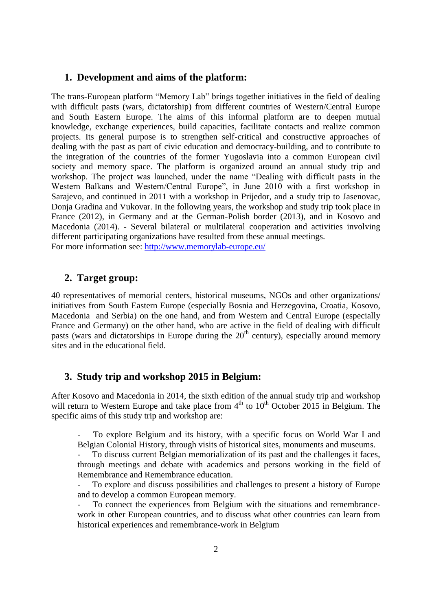#### **1. Development and aims of the platform:**

The trans-European platform "Memory Lab" brings together initiatives in the field of dealing with difficult pasts (wars, dictatorship) from different countries of Western/Central Europe and South Eastern Europe. The aims of this informal platform are to deepen mutual knowledge, exchange experiences, build capacities, facilitate contacts and realize common projects. Its general purpose is to strengthen self-critical and constructive approaches of dealing with the past as part of civic education and democracy-building, and to contribute to the integration of the countries of the former Yugoslavia into a common European civil society and memory space. The platform is organized around an annual study trip and workshop. The project was launched, under the name "Dealing with difficult pasts in the Western Balkans and Western/Central Europe", in June 2010 with a first workshop in Sarajevo, and continued in 2011 with a workshop in Prijedor, and a study trip to Jasenovac, Donja Gradina and Vukovar. In the following years, the workshop and study trip took place in France (2012), in Germany and at the German-Polish border (2013), and in Kosovo and Macedonia (2014). - Several bilateral or multilateral cooperation and activities involving different participating organizations have resulted from these annual meetings. For more information see:<http://www.memorylab-europe.eu/>

### **2. Target group:**

40 representatives of memorial centers, historical museums, NGOs and other organizations/ initiatives from South Eastern Europe (especially Bosnia and Herzegovina, Croatia, Kosovo, Macedonia and Serbia) on the one hand, and from Western and Central Europe (especially France and Germany) on the other hand, who are active in the field of dealing with difficult pasts (wars and dictatorships in Europe during the  $20<sup>th</sup>$  century), especially around memory sites and in the educational field.

### **3. Study trip and workshop 2015 in Belgium:**

After Kosovo and Macedonia in 2014, the sixth edition of the annual study trip and workshop will return to Western Europe and take place from  $4<sup>th</sup>$  to  $10<sup>th</sup>$  October 2015 in Belgium. The specific aims of this study trip and workshop are:

- To explore Belgium and its history, with a specific focus on World War I and Belgian Colonial History, through visits of historical sites, monuments and museums.

To discuss current Belgian memorialization of its past and the challenges it faces, through meetings and debate with academics and persons working in the field of Remembrance and Remembrance education.

- To explore and discuss possibilities and challenges to present a history of Europe and to develop a common European memory.

To connect the experiences from Belgium with the situations and remembrancework in other European countries, and to discuss what other countries can learn from historical experiences and remembrance-work in Belgium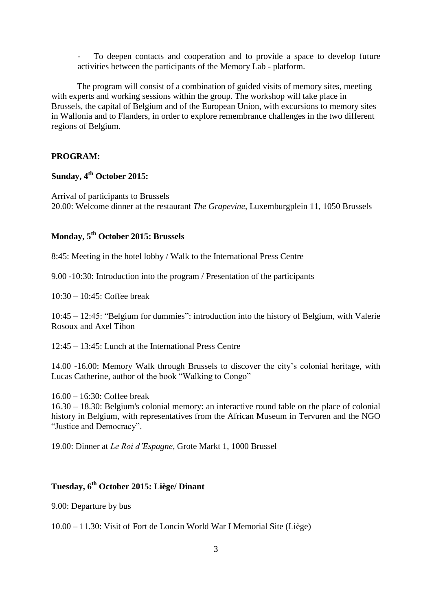- To deepen contacts and cooperation and to provide a space to develop future activities between the participants of the Memory Lab - platform.

The program will consist of a combination of guided visits of memory sites, meeting with experts and working sessions within the group. The workshop will take place in Brussels, the capital of Belgium and of the European Union, with excursions to memory sites in Wallonia and to Flanders, in order to explore remembrance challenges in the two different regions of Belgium.

### **PROGRAM:**

### **Sunday, 4th October 2015:**

Arrival of participants to Brussels 20.00: Welcome dinner at the restaurant *The Grapevine*, Luxemburgplein 11, 1050 Brussels

### **Monday, 5 th October 2015: Brussels**

8:45: Meeting in the hotel lobby / Walk to the International Press Centre

9.00 -10:30: Introduction into the program / Presentation of the participants

10:30 – 10:45: Coffee break

10:45 – 12:45: "Belgium for dummies": introduction into the history of Belgium, with Valerie Rosoux and Axel Tihon

12:45 – 13:45: Lunch at the International Press Centre

14.00 -16.00: Memory Walk through Brussels to discover the city's colonial heritage, with Lucas Catherine, author of the book "Walking to Congo"

16.00 – 16:30: Coffee break

16.30 – 18.30: Belgium's colonial memory: an interactive round table on the place of colonial history in Belgium, with representatives from the African Museum in Tervuren and the NGO "Justice and Democracy".

19.00: Dinner at *Le Roi d'Espagne*, Grote Markt 1, 1000 Brussel

### **Tuesday, 6 th October 2015: Liège/ Dinant**

9.00: Departure by bus

10.00 – 11.30: Visit of Fort de Loncin World War I Memorial Site (Liège)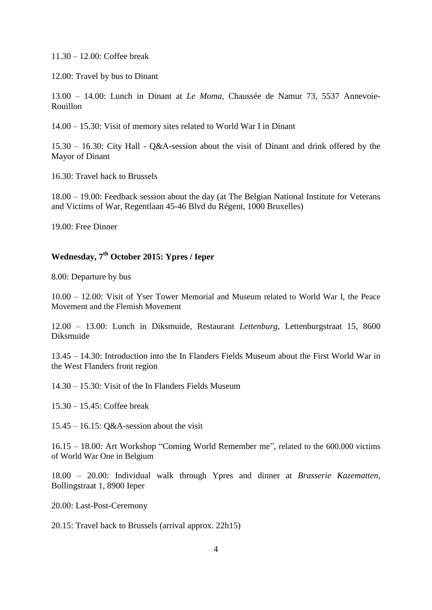11.30 – 12.00: Coffee break

12.00: Travel by bus to Dinant

13.00 – 14.00: Lunch in Dinant at *Le Moma*, Chaussée de Namur 73, 5537 Annevoie-Rouillon

14.00 – 15.30: Visit of memory sites related to World War I in Dinant

15.30 – 16.30: City Hall - Q&A-session about the visit of Dinant and drink offered by the Mayor of Dinant

16.30: Travel back to Brussels

18.00 – 19.00: Feedback session about the day (at The Belgian National Institute for Veterans and Victims of War, Regentlaan 45-46 Blvd du Régent, 1000 Bruxelles)

19.00: Free Dinner

### **Wednesday, 7th October 2015: Ypres / Ieper**

8.00: Departure by bus

10.00 – 12.00: Visit of Yser Tower Memorial and Museum related to World War I, the Peace Movement and the Flemish Movement

12.00 – 13.00: Lunch in Diksmuide, Restaurant *Lettenburg*, Lettenburgstraat 15, 8600 Diksmuide

13.45 – 14.30: Introduction into the In Flanders Fields Museum about the First World War in the West Flanders front region

14.30 – 15.30: Visit of the In Flanders Fields Museum

15.30 – 15.45: Coffee break

 $15.45 - 16.15$ : O&A-session about the visit

16.15 – 18.00: Art Workshop "Coming World Remember me", related to the 600.000 victims of World War One in Belgium

18.00 – 20.00: Individual walk through Ypres and dinner at *Brasserie Kazematten*, Bollingstraat 1, 8900 Ieper

20.00: Last-Post-Ceremony

20.15: Travel back to Brussels (arrival approx. 22h15)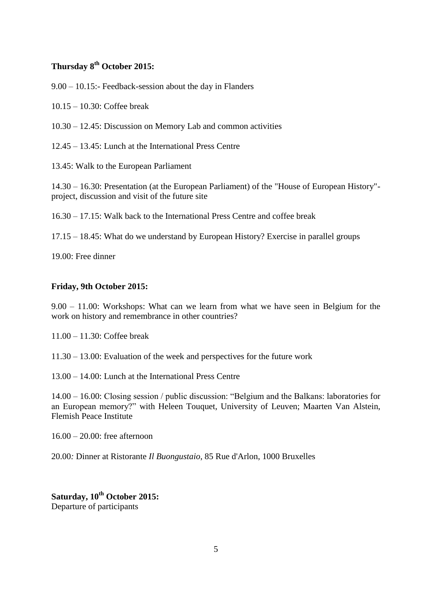### **Thursday 8th October 2015:**

9.00 – 10.15:- Feedback-session about the day in Flanders

10.15 – 10.30: Coffee break

10.30 – 12.45: Discussion on Memory Lab and common activities

12.45 – 13.45: Lunch at the International Press Centre

13.45: Walk to the European Parliament

14.30 – 16.30: Presentation (at the European Parliament) of the "House of European History" project, discussion and visit of the future site

16.30 – 17.15: Walk back to the International Press Centre and coffee break

17.15 – 18.45: What do we understand by European History? Exercise in parallel groups

19.00: Free dinner

#### **Friday, 9th October 2015:**

9.00 – 11.00: Workshops: What can we learn from what we have seen in Belgium for the work on history and remembrance in other countries?

11.00 – 11.30: Coffee break

11.30 – 13.00: Evaluation of the week and perspectives for the future work

13.00 – 14.00: Lunch at the International Press Centre

14.00 – 16.00: Closing session / public discussion: "Belgium and the Balkans: laboratories for an European memory?" with Heleen Touquet, University of Leuven; Maarten Van Alstein, Flemish Peace Institute

16.00 – 20.00: free afternoon

20.00*:* Dinner at Ristorante *Il Buongustaio*, 85 Rue d'Arlon, 1000 Bruxelles

**Saturday, 10th October 2015:** Departure of participants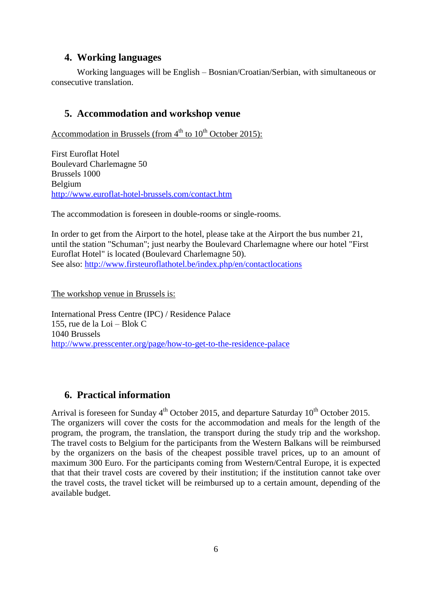### **4. Working languages**

Working languages will be English – Bosnian/Croatian/Serbian, with simultaneous or consecutive translation.

### **5. Accommodation and workshop venue**

Accommodation in Brussels (from  $4<sup>th</sup>$  to  $10<sup>th</sup>$  October 2015):

First Euroflat Hotel Boulevard Charlemagne 50 Brussels 1000 Belgium <http://www.euroflat-hotel-brussels.com/contact.htm>

The accommodation is foreseen in double-rooms or single-rooms.

In order to get from the Airport to the hotel, please take at the Airport the bus number 21, until the station "Schuman"; just nearby the Boulevard Charlemagne where our hotel "First Euroflat Hotel" is located (Boulevard Charlemagne 50). See also:<http://www.firsteuroflathotel.be/index.php/en/contactlocations>

The workshop venue in Brussels is:

International Press Centre (IPC) / Residence Palace 155, rue de la Loi – Blok C 1040 Brussels <http://www.presscenter.org/page/how-to-get-to-the-residence-palace>

### **6. Practical information**

Arrival is foreseen for Sunday  $4<sup>th</sup>$  October 2015, and departure Saturday  $10<sup>th</sup>$  October 2015. The organizers will cover the costs for the accommodation and meals for the length of the program, the program, the translation, the transport during the study trip and the workshop. The travel costs to Belgium for the participants from the Western Balkans will be reimbursed by the organizers on the basis of the cheapest possible travel prices, up to an amount of maximum 300 Euro. For the participants coming from Western/Central Europe, it is expected that that their travel costs are covered by their institution; if the institution cannot take over the travel costs, the travel ticket will be reimbursed up to a certain amount, depending of the available budget.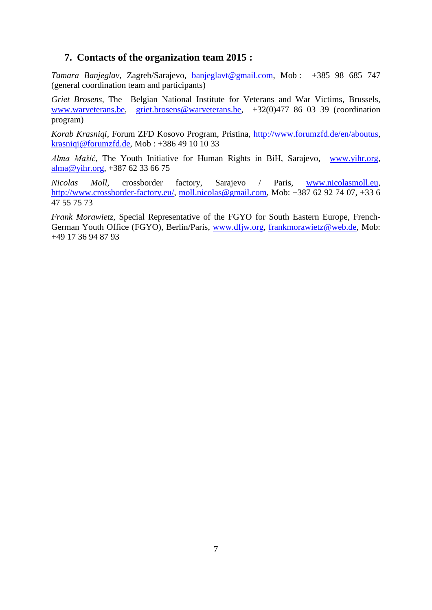### **7. Contacts of the organization team 2015 :**

*Tamara Banjeglav,* Zagreb/Sarajevo*,* [banjeglavt@gmail.com,](mailto:banjeglavt@gmail.com) Mob : +385 98 685 747 (general coordination team and participants)

*Griet Brosens,* The Belgian National Institute for Veterans and War Victims, Brussels, [www.warveterans.be,](http://www.warveterans.be/) [griet.brosens@warveterans.be,](mailto:griet.brosens@warveterans.be) +32(0)477 86 03 39 (coordination program)

*Korab Krasniqi*, Forum ZFD Kosovo Program, Pristina, [http://www.forumzfd.de/en/aboutus,](http://www.forumzfd.de/en/aboutus) [krasniqi@forumzfd.de,](mailto:krasniqi@forumzfd.de) Mob : +386 49 10 10 33

*Alma Mašić,* The Youth Initiative for Human Rights in BiH, Sarajevo, [www.yihr.org,](http://www.yihr.org/) [alma@yihr.org,](mailto:alma@yihr.org) +387 62 33 66 75

*Nicolas Moll,* crossborder factory, Sarajevo / Paris, [www.nicolasmoll.eu,](http://www.nicolasmoll.eu/) [http://www.crossborder-factory.eu/,](http://www.crossborder-factory.eu/) [moll.nicolas@gmail.com,](mailto:moll.nicolas@gmail.com) Mob: +387 62 92 74 07, +33 6 47 55 75 73

*Frank Morawietz,* Special Representative of the FGYO for South Eastern Europe, French-German Youth Office (FGYO), Berlin/Paris, [www.dfjw.org,](http://www.dfjw.org/) [frankmorawietz@web.de,](mailto:frankmorawietz@web.de) Mob: +49 17 36 94 87 93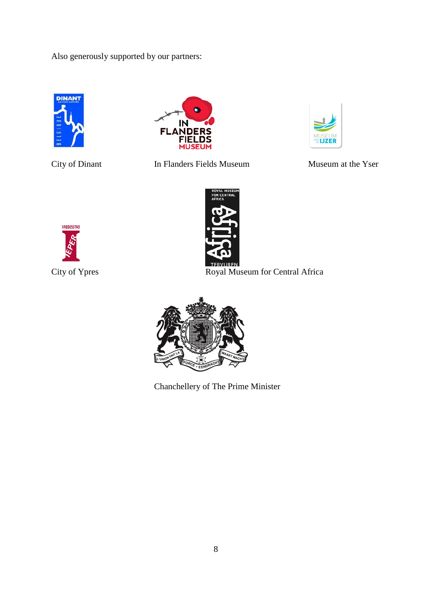Also generously supported by our partners:





City of Dinant In Flanders Fields Museum Museum at the Yser







City of Ypres Royal Museum for Central Africa



Chanchellery of The Prime Minister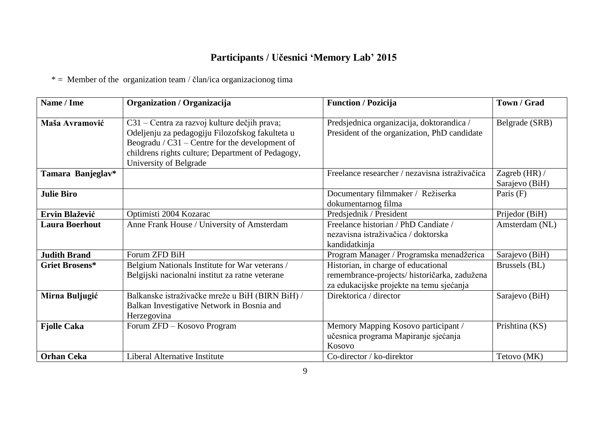## **Participants / Učesnici 'Memory Lab' 2015**

 $* =$  Member of the organization team / član/ica organizacionog tima

| Name / Ime            | Organization / Organizacija                                                                                                                                                                                                        | <b>Function / Pozicija</b>                                                                                                      | Town / Grad                     |
|-----------------------|------------------------------------------------------------------------------------------------------------------------------------------------------------------------------------------------------------------------------------|---------------------------------------------------------------------------------------------------------------------------------|---------------------------------|
| Maša Avramović        | C31 – Centra za razvoj kulture dečjih prava;<br>Odeljenju za pedagogiju Filozofskog fakulteta u<br>Beogradu / $C31$ – Centre for the development of<br>childrens rights culture; Department of Pedagogy,<br>University of Belgrade | Predsjednica organizacija, doktorandica /<br>President of the organization, PhD candidate                                       | Belgrade (SRB)                  |
| Tamara Banjeglav*     |                                                                                                                                                                                                                                    | Freelance researcher / nezavisna istraživačica                                                                                  | Zagreb (HR) /<br>Sarajevo (BiH) |
| <b>Julie Biro</b>     |                                                                                                                                                                                                                                    | Documentary filmmaker / Režiserka<br>dokumentarnog filma                                                                        | Paris $(F)$                     |
| Ervin Blažević        | Optimisti 2004 Kozarac                                                                                                                                                                                                             | Predsjednik / President                                                                                                         | Prijedor (BiH)                  |
| <b>Laura Boerhout</b> | Anne Frank House / University of Amsterdam                                                                                                                                                                                         | Freelance historian / PhD Candiate /<br>nezavisna istraživačica / doktorska<br>kandidatkinja                                    | Amsterdam (NL)                  |
| <b>Judith Brand</b>   | Forum ZFD BiH                                                                                                                                                                                                                      | Program Manager / Programska menadžerica                                                                                        | Sarajevo (BiH)                  |
| <b>Griet Brosens*</b> | Belgium Nationals Institute for War veterans /<br>Belgijski nacionalni institut za ratne veterane                                                                                                                                  | Historian, in charge of educational<br>remembrance-projects/ historičarka, zadužena<br>za edukacijske projekte na temu sjećanja | Brussels (BL)                   |
| Mirna Buljugić        | Balkanske istraživačke mreže u BiH (BIRN BiH) /<br>Balkan Investigative Network in Bosnia and<br>Herzegovina                                                                                                                       | Direktorica / director                                                                                                          | Sarajevo (BiH)                  |
| <b>Fjolle Caka</b>    | Forum ZFD - Kosovo Program                                                                                                                                                                                                         | Memory Mapping Kosovo participant /<br>učesnica programa Mapiranje sjećanja<br>Kosovo                                           | Prishtina (KS)                  |
| <b>Orhan Ceka</b>     | Liberal Alternative Institute                                                                                                                                                                                                      | Co-director / ko-direktor                                                                                                       | Tetovo (MK)                     |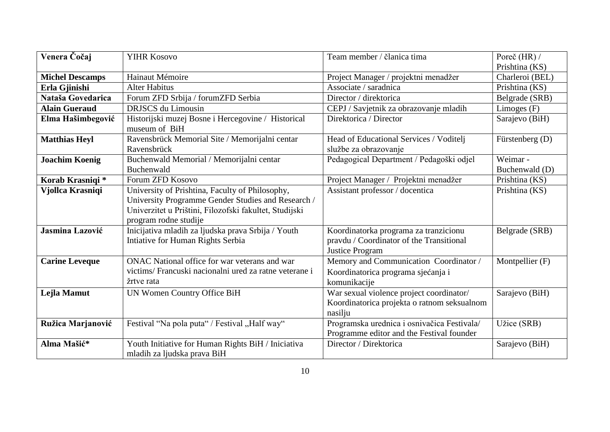| Venera Čočaj           | <b>YIHR Kosovo</b>                                     | Team member / članica tima                  | Poreč (HR) /    |
|------------------------|--------------------------------------------------------|---------------------------------------------|-----------------|
|                        |                                                        |                                             | Prishtina (KS)  |
| <b>Michel Descamps</b> | Hainaut Mémoire                                        | Project Manager / projektni menadžer        | Charleroi (BEL) |
| Erla Gjinishi          | <b>Alter Habitus</b>                                   | Associate / saradnica                       | Prishtina (KS)  |
| Nataša Govedarica      | Forum ZFD Srbija / forumZFD Serbia                     | Director / direktorica                      | Belgrade (SRB)  |
| <b>Alain Gueraud</b>   | <b>DRJSCS</b> du Limousin                              | CEPJ / Savjetnik za obrazovanje mladih      | Limoges $(F)$   |
| Elma Hašimbegović      | Historijski muzej Bosne i Hercegovine / Historical     | Direktorica / Director                      | Sarajevo (BiH)  |
|                        | museum of BiH                                          |                                             |                 |
| <b>Matthias Heyl</b>   | Ravensbrück Memorial Site / Memorijalni centar         | Head of Educational Services / Voditelj     | Fürstenberg (D) |
|                        | Ravensbrück                                            | službe za obrazovanje                       |                 |
| <b>Joachim Koenig</b>  | Buchenwald Memorial / Memorijalni centar               | Pedagogical Department / Pedagoški odjel    | Weimar-         |
|                        | Buchenwald                                             |                                             | Buchenwald (D)  |
| Korab Krasniqi*        | Forum ZFD Kosovo                                       | Project Manager / Projektni menadžer        | Prishtina (KS)  |
| Vjollca Krasniqi       | University of Prishtina, Faculty of Philosophy,        | Assistant professor / docentica             | Prishtina (KS)  |
|                        | University Programme Gender Studies and Research /     |                                             |                 |
|                        | Univerzitet u Prištini, Filozofski fakultet, Studijski |                                             |                 |
|                        | program rodne studije                                  |                                             |                 |
| Jasmina Lazović        | Inicijativa mladih za ljudska prava Srbija / Youth     | Koordinatorka programa za tranzicionu       | Belgrade (SRB)  |
|                        | Intiative for Human Rights Serbia                      | pravdu / Coordinator of the Transitional    |                 |
|                        |                                                        | Justice Program                             |                 |
| <b>Carine Leveque</b>  | ONAC National office for war veterans and war          | Memory and Communication Coordinator /      | Montpellier (F) |
|                        | victims/ Francuski nacionalni ured za ratne veterane i | Koordinatorica programa sjećanja i          |                 |
|                        | žrtve rata                                             | komunikacije                                |                 |
| Lejla Mamut            | UN Women Country Office BiH                            | War sexual violence project coordinator/    | Sarajevo (BiH)  |
|                        |                                                        | Koordinatorica projekta o ratnom seksualnom |                 |
|                        |                                                        | nasilju                                     |                 |
| Ružica Marjanović      | Festival "Na pola puta" / Festival "Half way"          | Programska urednica i osnivačica Festivala/ | Užice (SRB)     |
|                        |                                                        | Programme editor and the Festival founder   |                 |
| Alma Mašić*            | Youth Initiative for Human Rights BiH / Iniciativa     | Director / Direktorica                      | Sarajevo (BiH)  |
|                        | mladih za ljudska prava BiH                            |                                             |                 |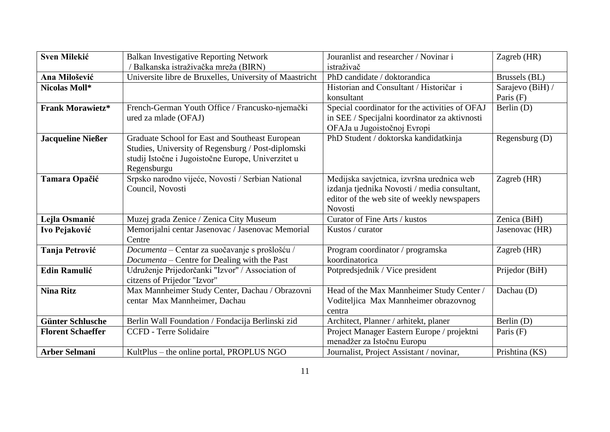| <b>Sven Milekić</b>      | <b>Balkan Investigative Reporting Network</b>           | Jouranlist and researcher / Novinar i          | Zagreb (HR)      |
|--------------------------|---------------------------------------------------------|------------------------------------------------|------------------|
|                          | / Balkanska istraživačka mreža (BIRN)                   | istraživač                                     |                  |
| Ana Milošević            | Universite libre de Bruxelles, University of Maastricht | PhD candidate / doktorandica                   | Brussels (BL)    |
| Nicolas Moll*            |                                                         | Historian and Consultant / Historičar i        | Sarajevo (BiH) / |
|                          |                                                         | konsultant                                     | Paris $(F)$      |
| <b>Frank Morawietz*</b>  | French-German Youth Office / Francusko-njemački         | Special coordinator for the activities of OFAJ | Berlin $(D)$     |
|                          | ured za mlade (OFAJ)                                    | in SEE / Specijalni koordinator za aktivnosti  |                  |
|                          |                                                         | OFAJa u Jugoistočnoj Evropi                    |                  |
| <b>Jacqueline Nießer</b> | Graduate School for East and Southeast European         | PhD Student / doktorska kandidatkinja          | Regensburg (D)   |
|                          | Studies, University of Regensburg / Post-diplomski      |                                                |                  |
|                          | studij Istočne i Jugoistočne Europe, Univerzitet u      |                                                |                  |
|                          | Regensburgu                                             |                                                |                  |
| Tamara Opačić            | Srpsko narodno vijeće, Novosti / Serbian National       | Medijska savjetnica, izvršna urednica web      | Zagreb (HR)      |
|                          | Council, Novosti                                        | izdanja tjednika Novosti / media consultant,   |                  |
|                          |                                                         | editor of the web site of weekly newspapers    |                  |
|                          |                                                         | Novosti                                        |                  |
| Lejla Osmanić            | Muzej grada Zenice / Zenica City Museum                 | Curator of Fine Arts / kustos                  | Zenica (BiH)     |
| Ivo Pejaković            | Memorijalni centar Jasenovac / Jasenovac Memorial       | Kustos / curator                               | Jasenovac (HR)   |
|                          | Centre                                                  |                                                |                  |
| Tanja Petrović           | Documenta - Centar za suočavanje s prošlošću /          | Program coordinator / programska               | Zagreb (HR)      |
|                          | Documenta – Centre for Dealing with the Past            | koordinatorica                                 |                  |
| <b>Edin Ramulić</b>      | Udruženje Prijedorčanki "Izvor" / Association of        | Potpredsjednik / Vice president                | Prijedor (BiH)   |
|                          | citzens of Prijedor "Izvor"                             |                                                |                  |
| <b>Nina Ritz</b>         | Max Mannheimer Study Center, Dachau / Obrazovni         | Head of the Max Mannheimer Study Center /      | Dachau (D)       |
|                          | centar Max Mannheimer, Dachau                           | Voditeljica Max Mannheimer obrazovnog          |                  |
|                          |                                                         | centra                                         |                  |
| <b>Günter Schlusche</b>  | Berlin Wall Foundation / Fondacija Berlinski zid        | Architect, Planner / arhitekt, planer          | Berlin $(D)$     |
| <b>Florent Schaeffer</b> | <b>CCFD</b> - Terre Solidaire                           | Project Manager Eastern Europe / projektni     | Paris $(F)$      |
|                          |                                                         | menadžer za Istočnu Europu                     |                  |
| <b>Arber Selmani</b>     | KultPlus – the online portal, PROPLUS NGO               | Journalist, Project Assistant / novinar,       | Prishtina (KS)   |